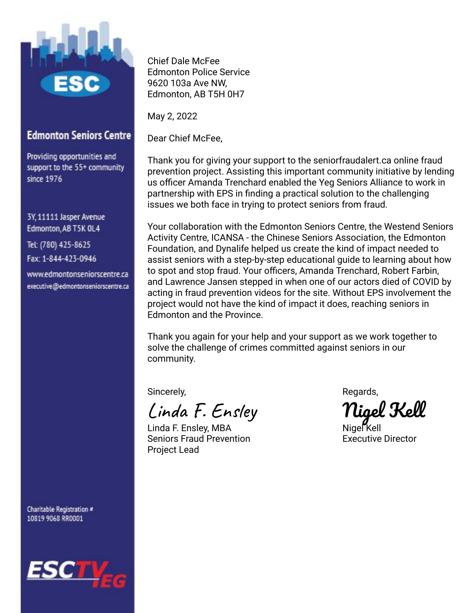

## **Edmonton Seniors Centre**

Providing opportunities and support to the 55+ community since 1976

3Y, 11111 Jasper Avenue Edmonton, AB T5K OL4

Tel: (780) 425-8625 Fax: 1-844-423-0946

www.edmontonseniorscentre.ca executive@edmontonseniorscentre.ca

Charitable Registration # 10819 9068 RR0001



Chief Dale McFee Edmonton Police Service 9620 103a Ave NW, Edmonton, AB T5H 0H7

May 2, 2022

Dear Chief McFee,

Thank you for giving your support to the seniorfraudalert.ca online fraud prevention project. Assisting this important community initiative by lending us officer Amanda Trenchard enabled the Yeg Seniors Alliance to work in partnership with EPS in finding a practical solution to the challenging issues we both face in trying to protect seniors from fraud.

Your collaboration with the Edmonton Seniors Centre, the Westend Seniors Activity Centre, ICANSA - the Chinese Seniors Association, the Edmonton Foundation, and Dynalife helped us create the kind of impact needed to assist seniors with a step-by-step educational guide to learning about how to spot and stop fraud. Your officers, Amanda Trenchard, Robert Farbin, and Lawrence Jansen stepped in when one of our actors died of COVID by acting in fraud prevention videos for the site. Without EPS involvement the project would not have the kind of impact it does, reaching seniors in Edmonton and the Province.

Thank you again for your help and your support as we work together to solve the challenge of crimes committed against seniors in our community.

Sincerely, and the state of the state of the Regards,

Linda F. Ensley Nigel Kell

Linda F. Ensley, MBA Nigel Kell Seniors Fraud Prevention **Executive Director** Project Lead